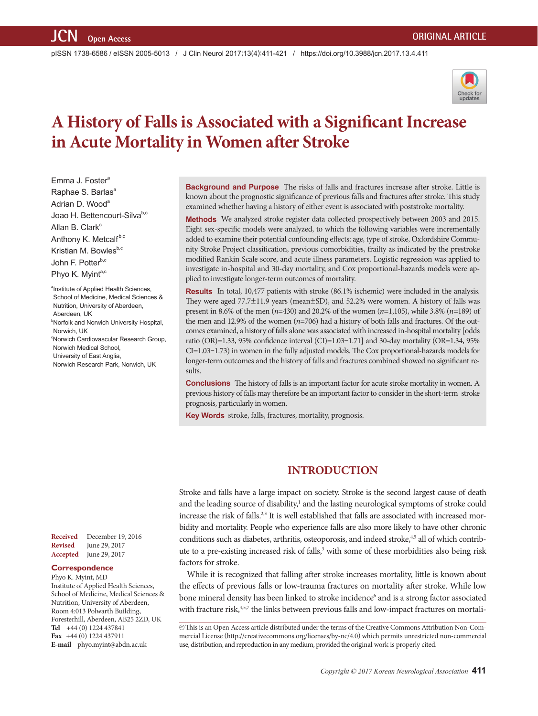pISSN 1738-6586 / eISSN 2005-5013 / J Clin Neurol 2017;13(4):411-421 / https://doi.org/10.3988/jcn.2017.13.4.411



# **A History of Falls is Associated with a Significant Increase in Acute Mortality in Women after Stroke**

Emma J. Foster<sup>a</sup> Raphae S. Barlas<sup>a</sup> Adrian D. Wood<sup>a</sup> Joao H. Bettencourt-Silvab,c Allan B. Clark<sup>c</sup> Anthony K. Metcalfb,c Kristian M. Bowles $b,c$ John F. Potter<sup>b,c</sup> Phyo K. Myinta,c

<sup>a</sup>Institute of Applied Health Sciences, School of Medicine, Medical Sciences & Nutrition, University of Aberdeen, Aberdeen, UK <sup>b</sup>Norfolk and Norwich University Hospital, Norwich, UK c Norwich Cardiovascular Research Group, Norwich Medical School, University of East Anglia, Norwich Research Park, Norwich, UK

**Background and Purpose** The risks of falls and fractures increase after stroke. Little is known about the prognostic significance of previous falls and fractures after stroke. This study examined whether having a history of either event is associated with poststroke mortality.

**Methods** We analyzed stroke register data collected prospectively between 2003 and 2015. Eight sex-specific models were analyzed, to which the following variables were incrementally added to examine their potential confounding effects: age, type of stroke, Oxfordshire Community Stroke Project classification, previous comorbidities, frailty as indicated by the prestroke modified Rankin Scale score, and acute illness parameters. Logistic regression was applied to investigate in-hospital and 30-day mortality, and Cox proportional-hazards models were applied to investigate longer-term outcomes of mortality.

**Results** In total, 10,477 patients with stroke (86.1% ischemic) were included in the analysis. They were aged 77.7±11.9 years (mean±SD), and 52.2% were women. A history of falls was present in 8.6% of the men (*n*=430) and 20.2% of the women (*n*=1,105), while 3.8% (*n*=189) of the men and 12.9% of the women (*n*=706) had a history of both falls and fractures. Of the outcomes examined, a history of falls alone was associated with increased in-hospital mortality [odds ratio (OR)=1.33, 95% confidence interval (CI)=1.03–1.71] and 30-day mortality (OR=1.34, 95% CI=1.03–1.73) in women in the fully adjusted models. The Cox proportional-hazards models for longer-term outcomes and the history of falls and fractures combined showed no significant results.

**Conclusions** The history of falls is an important factor for acute stroke mortality in women. A previous history of falls may therefore be an important factor to consider in the short-term stroke prognosis, particularly in women.

**Key Words** stroke, falls, fractures, mortality, prognosis.

# **INTRODUCTION**

Stroke and falls have a large impact on society. Stroke is the second largest cause of death and the leading source of disability,<sup>1</sup> and the lasting neurological symptoms of stroke could increase the risk of falls.<sup>2,3</sup> It is well established that falls are associated with increased morbidity and mortality. People who experience falls are also more likely to have other chronic conditions such as diabetes, arthritis, osteoporosis, and indeed stroke,<sup>4,5</sup> all of which contribute to a pre-existing increased risk of falls,<sup>3</sup> with some of these morbidities also being risk factors for stroke.

While it is recognized that falling after stroke increases mortality, little is known about the effects of previous falls or low-trauma fractures on mortality after stroke. While low bone mineral density has been linked to stroke incidence<sup>6</sup> and is a strong factor associated with fracture risk,<sup>4,5,7</sup> the links between previous falls and low-impact fractures on mortali-

**Received** December 19, 2016 **Revised** June 29, 2017 **Accepted** June 29, 2017

## **Correspondence**

Phyo K. Myint, MD Institute of Applied Health Sciences, School of Medicine, Medical Sciences & Nutrition, University of Aberdeen, Room 4:013 Polwarth Building, Foresterhill, Aberdeen, AB25 2ZD, UK **Tel** +44 (0) 1224 437841 **Fax** +44 (0) 1224 437911 **E-mail** phyo.myint@abdn.ac.uk

cc This is an Open Access article distributed under the terms of the Creative Commons Attribution Non-Commercial License (http://creativecommons.org/licenses/by-nc/4.0) which permits unrestricted non-commercial use, distribution, and reproduction in any medium, provided the original work is properly cited.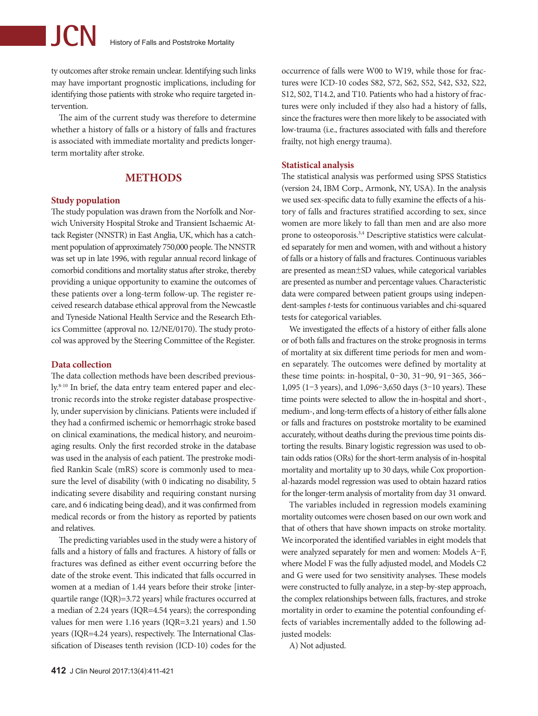ty outcomes after stroke remain unclear. Identifying such links may have important prognostic implications, including for identifying those patients with stroke who require targeted intervention.

The aim of the current study was therefore to determine whether a history of falls or a history of falls and fractures is associated with immediate mortality and predicts longerterm mortality after stroke.

# **Methods**

#### **Study population**

The study population was drawn from the Norfolk and Norwich University Hospital Stroke and Transient Ischaemic Attack Register (NNSTR) in East Anglia, UK, which has a catchment population of approximately 750,000 people. The NNSTR was set up in late 1996, with regular annual record linkage of comorbid conditions and mortality status after stroke, thereby providing a unique opportunity to examine the outcomes of these patients over a long-term follow-up. The register received research database ethical approval from the Newcastle and Tyneside National Health Service and the Research Ethics Committee (approval no. 12/NE/0170). The study protocol was approved by the Steering Committee of the Register.

#### **Data collection**

The data collection methods have been described previously.<sup>8-10</sup> In brief, the data entry team entered paper and electronic records into the stroke register database prospectively, under supervision by clinicians. Patients were included if they had a confirmed ischemic or hemorrhagic stroke based on clinical examinations, the medical history, and neuroimaging results. Only the first recorded stroke in the database was used in the analysis of each patient. The prestroke modified Rankin Scale (mRS) score is commonly used to measure the level of disability (with 0 indicating no disability, 5 indicating severe disability and requiring constant nursing care, and 6 indicating being dead), and it was confirmed from medical records or from the history as reported by patients and relatives.

The predicting variables used in the study were a history of falls and a history of falls and fractures. A history of falls or fractures was defined as either event occurring before the date of the stroke event. This indicated that falls occurred in women at a median of 1.44 years before their stroke [interquartile range (IQR)=3.72 years] while fractures occurred at a median of 2.24 years (IQR=4.54 years); the corresponding values for men were 1.16 years (IQR=3.21 years) and 1.50 years (IQR=4.24 years), respectively. The International Classification of Diseases tenth revision (ICD-10) codes for the

occurrence of falls were W00 to W19, while those for fractures were ICD-10 codes S82, S72, S62, S52, S42, S32, S22, S12, S02, T14.2, and T10. Patients who had a history of fractures were only included if they also had a history of falls, since the fractures were then more likely to be associated with low-trauma (i.e., fractures associated with falls and therefore frailty, not high energy trauma).

#### **Statistical analysis**

The statistical analysis was performed using SPSS Statistics (version 24, IBM Corp., Armonk, NY, USA). In the analysis we used sex-specific data to fully examine the effects of a history of falls and fractures stratified according to sex, since women are more likely to fall than men and are also more prone to osteoporosis.3,4 Descriptive statistics were calculated separately for men and women, with and without a history of falls or a history of falls and fractures. Continuous variables are presented as mean±SD values, while categorical variables are presented as number and percentage values. Characteristic data were compared between patient groups using independent-samples *t*-tests for continuous variables and chi-squared tests for categorical variables.

We investigated the effects of a history of either falls alone or of both falls and fractures on the stroke prognosis in terms of mortality at six different time periods for men and women separately. The outcomes were defined by mortality at these time points: in-hospital, 0–30, 31–90, 91–365, 366– 1,095 (1–3 years), and 1,096–3,650 days (3–10 years). These time points were selected to allow the in-hospital and short-, medium-, and long-term effects of a history of either falls alone or falls and fractures on poststroke mortality to be examined accurately, without deaths during the previous time points distorting the results. Binary logistic regression was used to obtain odds ratios (ORs) for the short-term analysis of in-hospital mortality and mortality up to 30 days, while Cox proportional-hazards model regression was used to obtain hazard ratios for the longer-term analysis of mortality from day 31 onward.

The variables included in regression models examining mortality outcomes were chosen based on our own work and that of others that have shown impacts on stroke mortality. We incorporated the identified variables in eight models that were analyzed separately for men and women: Models A–F, where Model F was the fully adjusted model, and Models C2 and G were used for two sensitivity analyses. These models were constructed to fully analyze, in a step-by-step approach, the complex relationships between falls, fractures, and stroke mortality in order to examine the potential confounding effects of variables incrementally added to the following adjusted models:

A) Not adjusted.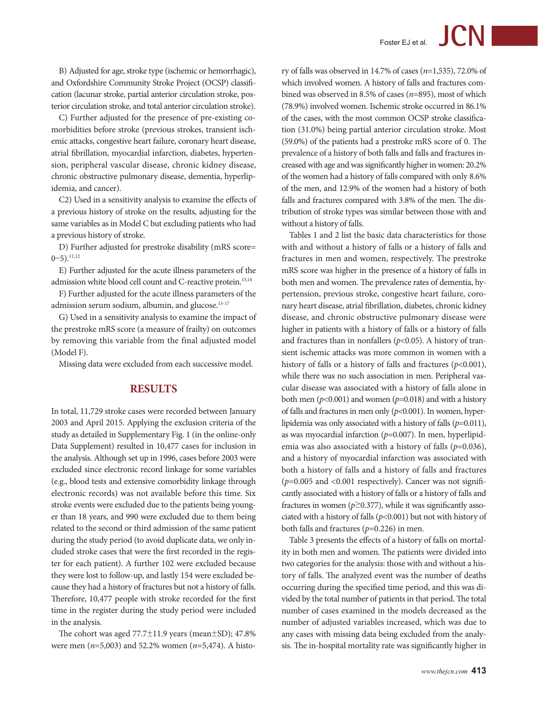B) Adjusted for age, stroke type (ischemic or hemorrhagic), and Oxfordshire Community Stroke Project (OCSP) classification (lacunar stroke, partial anterior circulation stroke, posterior circulation stroke, and total anterior circulation stroke).

C) Further adjusted for the presence of pre-existing comorbidities before stroke (previous strokes, transient ischemic attacks, congestive heart failure, coronary heart disease, atrial fibrillation, myocardial infarction, diabetes, hypertension, peripheral vascular disease, chronic kidney disease, chronic obstructive pulmonary disease, dementia, hyperlipidemia, and cancer).

C2) Used in a sensitivity analysis to examine the effects of a previous history of stroke on the results, adjusting for the same variables as in Model C but excluding patients who had a previous history of stroke.

D) Further adjusted for prestroke disability (mRS score=  $0-5$ ).<sup>11,12</sup>

E) Further adjusted for the acute illness parameters of the admission white blood cell count and C-reactive protein.<sup>13,14</sup>

F) Further adjusted for the acute illness parameters of the admission serum sodium, albumin, and glucose.<sup>15-17</sup>

G) Used in a sensitivity analysis to examine the impact of the prestroke mRS score (a measure of frailty) on outcomes by removing this variable from the final adjusted model (Model F).

Missing data were excluded from each successive model.

## **Results**

In total, 11,729 stroke cases were recorded between January 2003 and April 2015. Applying the exclusion criteria of the study as detailed in Supplementary Fig. 1 (in the online-only Data Supplement) resulted in 10,477 cases for inclusion in the analysis. Although set up in 1996, cases before 2003 were excluded since electronic record linkage for some variables (e.g., blood tests and extensive comorbidity linkage through electronic records) was not available before this time. Six stroke events were excluded due to the patients being younger than 18 years, and 990 were excluded due to them being related to the second or third admission of the same patient during the study period (to avoid duplicate data, we only included stroke cases that were the first recorded in the register for each patient). A further 102 were excluded because they were lost to follow-up, and lastly 154 were excluded because they had a history of fractures but not a history of falls. Therefore, 10,477 people with stroke recorded for the first time in the register during the study period were included in the analysis.

The cohort was aged  $77.7\pm11.9$  years (mean $\pm$ SD); 47.8% were men (*n*=5,003) and 52.2% women (*n*=5,474). A history of falls was observed in 14.7% of cases (*n*=1,535), 72.0% of which involved women. A history of falls and fractures combined was observed in 8.5% of cases (*n*=895), most of which (78.9%) involved women. Ischemic stroke occurred in 86.1% of the cases, with the most common OCSP stroke classification (31.0%) being partial anterior circulation stroke. Most (59.0%) of the patients had a prestroke mRS score of 0. The prevalence of a history of both falls and falls and fractures increased with age and was significantly higher in women: 20.2% of the women had a history of falls compared with only 8.6% of the men, and 12.9% of the women had a history of both falls and fractures compared with 3.8% of the men. The distribution of stroke types was similar between those with and without a history of falls.

Tables 1 and 2 list the basic data characteristics for those with and without a history of falls or a history of falls and fractures in men and women, respectively. The prestroke mRS score was higher in the presence of a history of falls in both men and women. The prevalence rates of dementia, hypertension, previous stroke, congestive heart failure, coronary heart disease, atrial fibrillation, diabetes, chronic kidney disease, and chronic obstructive pulmonary disease were higher in patients with a history of falls or a history of falls and fractures than in nonfallers ( $p$ <0.05). A history of transient ischemic attacks was more common in women with a history of falls or a history of falls and fractures (*p*<0.001), while there was no such association in men. Peripheral vascular disease was associated with a history of falls alone in both men (*p*<0.001) and women (*p*=0.018) and with a history of falls and fractures in men only (*p*<0.001). In women, hyperlipidemia was only associated with a history of falls (*p*=0.011), as was myocardial infarction (*p*=0.007). In men, hyperlipidemia was also associated with a history of falls ( $p=0.036$ ), and a history of myocardial infarction was associated with both a history of falls and a history of falls and fractures (*p*=0.005 and <0.001 respectively). Cancer was not significantly associated with a history of falls or a history of falls and fractures in women ( $p \ge 0.377$ ), while it was significantly associated with a history of falls (*p*<0.001) but not with history of both falls and fractures (*p*=0.226) in men.

Table 3 presents the effects of a history of falls on mortality in both men and women. The patients were divided into two categories for the analysis: those with and without a history of falls. The analyzed event was the number of deaths occurring during the specified time period, and this was divided by the total number of patients in that period. The total number of cases examined in the models decreased as the number of adjusted variables increased, which was due to any cases with missing data being excluded from the analysis. The in-hospital mortality rate was significantly higher in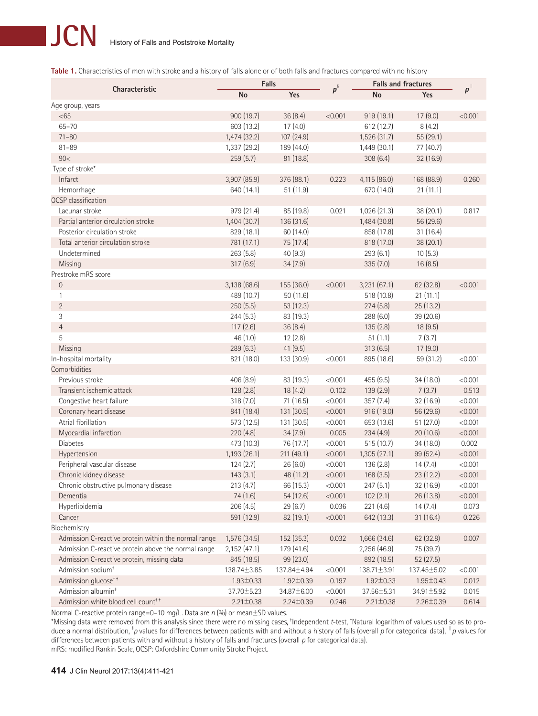Table 1. Characteristics of men with stroke and a history of falls alone or of both falls and fractures compared with no history

|                                                      |                 | Falls           |          | <b>Falls and fractures</b> |                 |                 |
|------------------------------------------------------|-----------------|-----------------|----------|----------------------------|-----------------|-----------------|
| Characteristic                                       | No              | Yes             | $p^{\S}$ | <b>No</b>                  | Yes             | $p^{\parallel}$ |
| Age group, years                                     |                 |                 |          |                            |                 |                 |
| <65                                                  | 900 (19.7)      | 36(8.4)         | < 0.001  | 919 (19.1)                 | 17(9.0)         | < 0.001         |
| $65 - 70$                                            | 603 (13.2)      | 17(4.0)         |          | 612 (12.7)                 | 8(4.2)          |                 |
| $71 - 80$                                            | 1,474 (32.2)    | 107(24.9)       |          | 1,526 (31.7)               | 55 (29.1)       |                 |
| $81 - 89$                                            | 1,337 (29.2)    | 189 (44.0)      |          | 1,449 (30.1)               | 77 (40.7)       |                 |
| 90<                                                  | 259(5.7)        | 81 (18.8)       |          | 308(6.4)                   | 32 (16.9)       |                 |
| Type of stroke*                                      |                 |                 |          |                            |                 |                 |
| Infarct                                              | 3,907 (85.9)    | 376 (88.1)      | 0.223    | 4,115 (86.0)               | 168 (88.9)      | 0.260           |
| Hemorrhage                                           | 640 (14.1)      | 51 (11.9)       |          | 670 (14.0)                 | 21(11.1)        |                 |
| <b>OCSP</b> classification                           |                 |                 |          |                            |                 |                 |
| Lacunar stroke                                       | 979 (21.4)      | 85 (19.8)       | 0.021    | 1,026 (21.3)               | 38(20.1)        | 0.817           |
| Partial anterior circulation stroke                  | 1,404 (30.7)    | 136 (31.6)      |          | 1,484 (30.8)               | 56 (29.6)       |                 |
| Posterior circulation stroke                         | 829 (18.1)      | 60 (14.0)       |          | 858 (17.8)                 | 31(16.4)        |                 |
| Total anterior circulation stroke                    | 781 (17.1)      | 75 (17.4)       |          | 818 (17.0)                 | 38 (20.1)       |                 |
| Undetermined                                         | 263(5.8)        | 40(9.3)         |          | 293(6.1)                   | 10(5.3)         |                 |
| Missing                                              | 317 (6.9)       | 34(7.9)         |          | 335 (7.0)                  | 16(8.5)         |                 |
| Prestroke mRS score                                  |                 |                 |          |                            |                 |                 |
| $\mathbf 0$                                          | 3,138 (68.6)    | 155 (36.0)      | < 0.001  | 3,231 (67.1)               | 62 (32.8)       | < 0.001         |
| 1                                                    | 489 (10.7)      | 50(11.6)        |          | 518 (10.8)                 | 21(11.1)        |                 |
| $\overline{2}$                                       | 250(5.5)        | 53 (12.3)       |          | 274(5.8)                   | 25 (13.2)       |                 |
| 3                                                    | 244(5.3)        | 83 (19.3)       |          | 288 (6.0)                  | 39 (20.6)       |                 |
| $\overline{4}$                                       | 117(2.6)        | 36(8.4)         |          | 135(2.8)                   | 18(9.5)         |                 |
| 5                                                    | 46(1.0)         | 12(2.8)         |          | 51(1.1)                    | 7(3.7)          |                 |
| Missing                                              | 289(6.3)        | 41(9.5)         |          | 313(6.5)                   | 17(9.0)         |                 |
| In-hospital mortality                                | 821 (18.0)      | 133 (30.9)      | < 0.001  | 895 (18.6)                 | 59 (31.2)       | < 0.001         |
| Comorbidities                                        |                 |                 |          |                            |                 |                 |
| Previous stroke                                      | 406 (8.9)       | 83 (19.3)       | < 0.001  | 455 (9.5)                  | 34 (18.0)       | < 0.001         |
| Transient ischemic attack                            | 128(2.8)        | 18(4.2)         | 0.102    | 139(2.9)                   | 7(3.7)          | 0.513           |
| Congestive heart failure                             | 318(7.0)        | 71 (16.5)       | < 0.001  | 357(7.4)                   | 32 (16.9)       | < 0.001         |
| Coronary heart disease                               | 841 (18.4)      | 131 (30.5)      | < 0.001  | 916 (19.0)                 | 56 (29.6)       | < 0.001         |
| Atrial fibrillation                                  | 573 (12.5)      | 131 (30.5)      | < 0.001  | 653 (13.6)                 | 51 (27.0)       | < 0.001         |
| Myocardial infarction                                | 220(4.8)        | 34(7.9)         | 0.005    | 234(4.9)                   | 20 (10.6)       | < 0.001         |
| <b>Diabetes</b>                                      | 473 (10.3)      | 76 (17.7)       | < 0.001  | 515 (10.7)                 | 34 (18.0)       | 0.002           |
| Hypertension                                         | 1,193 (26.1)    | 211 (49.1)      | < 0.001  | 1,305 (27.1)               | 99 (52.4)       | < 0.001         |
| Peripheral vascular disease                          | 124(2.7)        | 26(6.0)         | < 0.001  | 136(2.8)                   | 14(7.4)         | < 0.001         |
| Chronic kidney disease                               | 143(3.1)        | 48 (11.2)       | < 0.001  | 168(3.5)                   | 23(12.2)        | < 0.001         |
| Chronic obstructive pulmonary disease                | 213(4.7)        | 66 (15.3)       | < 0.001  | 247(5.1)                   | 32 (16.9)       | < 0.001         |
| Dementia                                             | 74 (1.6)        | 54 (12.6)       | < 0.001  | 102(2.1)                   | 26 (13.8)       | < 0.001         |
| Hyperlipidemia                                       | 206(4.5)        | 29(6.7)         | 0.036    | 221 (4.6)                  | 14(7.4)         | 0.073           |
| Cancer                                               | 591 (12.9)      | 82 (19.1)       | < 0.001  | 642 (13.3)                 | 31(16.4)        | 0.226           |
| Biochemistry                                         |                 |                 |          |                            |                 |                 |
| Admission C-reactive protein within the normal range | 1,576 (34.5)    | 152 (35.3)      | 0.032    | 1,666 (34.6)               | 62 (32.8)       | 0.007           |
| Admission C-reactive protein above the normal range  | 2,152(47.1)     | 179 (41.6)      |          | 2,256 (46.9)               | 75 (39.7)       |                 |
| Admission C-reactive protein, missing data           | 845 (18.5)      | 99 (23.0)       |          | 892 (18.5)                 | 52(27.5)        |                 |
| Admission sodium <sup>+</sup>                        | 138.74±3.85     | 137.84±4.94     | < 0.001  | 138.71±3.91                | 137.45±5.02     | < 0.001         |
| Admission glucose <sup>++</sup>                      | $1.93 \pm 0.33$ | $1.92 \pm 0.39$ | 0.197    | $1.92 \pm 0.33$            | $1.95 \pm 0.43$ | 0.012           |
| Admission albumin <sup>+</sup>                       | 37.70±5.23      | 34.87±6.00      | < 0.001  | 37.56±5.31                 | 34.91±5.92      | 0.015           |
| Admission white blood cell count <sup>++</sup>       | $2.21 \pm 0.38$ | $2.24 \pm 0.39$ | 0.246    | $2.21 \pm 0.38$            | $2.26 \pm 0.39$ | 0.614           |

Normal C-reactive protein range=0–10 mg/L . Data are *n* (%) or mean±SD values.

\*Missing data were removed from this analysis since there were no missing cases, † Independent *t*-test, ‡ Natural logarithm of values used so as to produce a normal distribution, § *p* values for differences between patients with and without a history of falls (overall *p* for categorical data), <sup>∥</sup>*p* values for differences between patients with and without a history of falls and fractures (overall *p* for categorical data). mRS: modified Rankin Scale, OCSP: Oxfordshire Community Stroke Project.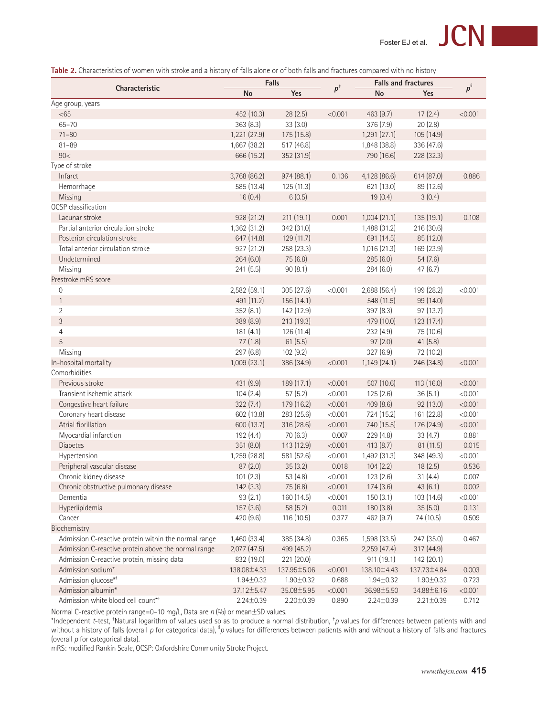Table 2. Characteristics of women with stroke and a history of falls alone or of both falls and fractures compared with no history

|                                                      |                  | <b>Falls</b>    |         | <b>Falls and fractures</b> |                 | $p^{\S}$ |
|------------------------------------------------------|------------------|-----------------|---------|----------------------------|-----------------|----------|
| <b>Characteristic</b>                                | <b>No</b>        | Yes             | $p^*$   | <b>No</b><br>Yes           |                 |          |
| Age group, years                                     |                  |                 |         |                            |                 |          |
| <65                                                  | 452 (10.3)       | 28(2.5)         | < 0.001 | 463(9.7)                   | 17(2.4)         | < 0.001  |
| $65 - 70$                                            | 363(8.3)         | 33(3.0)         |         | 376(7.9)                   | 20(2.8)         |          |
| $71 - 80$                                            | 1,221 (27.9)     | 175 (15.8)      |         | 1,291(27.1)                | 105 (14.9)      |          |
| $81 - 89$                                            | 1,667 (38.2)     | 517 (46.8)      |         | 1,848 (38.8)               | 336 (47.6)      |          |
| 90<                                                  | 666 (15.2)       | 352 (31.9)      |         | 790 (16.6)                 | 228 (32.3)      |          |
| Type of stroke                                       |                  |                 |         |                            |                 |          |
| Infarct                                              | 3,768 (86.2)     | 974(88.1)       | 0.136   | 4,128 (86.6)               | 614 (87.0)      | 0.886    |
| Hemorrhage                                           | 585 (13.4)       | 125(11.3)       |         | 621 (13.0)                 | 89 (12.6)       |          |
| Missing                                              | 16(0.4)          | 6(0.5)          |         | 19(0.4)                    | 3(0.4)          |          |
| OCSP classification                                  |                  |                 |         |                            |                 |          |
| Lacunar stroke                                       | 928 (21.2)       | 211(19.1)       | 0.001   | 1,004(21.1)                | 135(19.1)       | 0.108    |
| Partial anterior circulation stroke                  | 1,362 (31.2)     | 342 (31.0)      |         | 1,488 (31.2)               | 216 (30.6)      |          |
| Posterior circulation stroke                         | 647 (14.8)       | 129(11.7)       |         | 691 (14.5)                 | 85 (12.0)       |          |
| Total anterior circulation stroke                    | 927 (21.2)       | 258 (23.3)      |         | 1,016(21.3)                | 169 (23.9)      |          |
| Undetermined                                         | 264(6.0)         | 75 (6.8)        |         | 285(6.0)                   | 54(7.6)         |          |
| Missing                                              | 241 (5.5)        | 90(8.1)         |         | 284(6.0)                   | 47(6.7)         |          |
| Prestroke mRS score                                  |                  |                 |         |                            |                 |          |
| 0                                                    | 2,582 (59.1)     | 305 (27.6)      | < 0.001 | 2,688 (56.4)               | 199 (28.2)      | < 0.001  |
| $\mathbf{1}$                                         | 491 (11.2)       | 156 (14.1)      |         | 548 (11.5)                 | 99 (14.0)       |          |
| 2                                                    | 352(8.1)         | 142 (12.9)      |         | 397(8.3)                   | 97 (13.7)       |          |
| 3                                                    | 389 (8.9)        | 213 (19.3)      |         | 479 (10.0)                 | 123(17.4)       |          |
| 4                                                    | 181(4.1)         | 126 (11.4)      |         | 232(4.9)                   | 75 (10.6)       |          |
| 5                                                    | 77(1.8)          | 61(5.5)         |         | 97(2.0)                    | 41(5.8)         |          |
| Missing                                              | 297 (6.8)        | 102(9.2)        |         | 327(6.9)                   | 72 (10.2)       |          |
| In-hospital mortality                                | 1,009 (23.1)     | 386 (34.9)      | < 0.001 | 1,149(24.1)                | 246 (34.8)      | < 0.001  |
| Comorbidities                                        |                  |                 |         |                            |                 |          |
| Previous stroke                                      | 431 (9.9)        | 189 (17.1)      | < 0.001 | 507 (10.6)                 | 113 (16.0)      | < 0.001  |
| Transient ischemic attack                            | 104(2.4)         | 57(5.2)         | < 0.001 | 125(2.6)                   | 36(5.1)         | < 0.001  |
| Congestive heart failure                             | 322(7.4)         | 179 (16.2)      | < 0.001 | 409 (8.6)                  | 92 (13.0)       | < 0.001  |
| Coronary heart disease                               | 602 (13.8)       | 283 (25.6)      | < 0.001 | 724 (15.2)                 | 161 (22.8)      | < 0.001  |
| Atrial fibrillation                                  | 600 (13.7)       | 316 (28.6)      | < 0.001 | 740 (15.5)                 | 176 (24.9)      | < 0.001  |
| Myocardial infarction                                | 192 (4.4)        | 70(6.3)         | 0.007   | 229(4.8)                   | 33(4.7)         | 0.881    |
| Diabetes                                             | 351 (8.0)        | 143 (12.9)      | < 0.001 | 413(8.7)                   | 81 (11.5)       | 0.015    |
| Hypertension                                         | 1,259 (28.8)     | 581 (52.6)      | < 0.001 | 1,492 (31.3)               | 348 (49.3)      | < 0.001  |
| Peripheral vascular disease                          | 87(2.0)          | 35(3.2)         | 0.018   | 104(2.2)                   | 18(2.5)         | 0.536    |
| Chronic kidney disease                               | 101(2.3)         | 53(4.8)         | < 0.001 | 123(2.6)                   | 31(4.4)         | 0.007    |
| Chronic obstructive pulmonary disease                | 142(3.3)         | 75 (6.8)        | < 0.001 | 174(3.6)                   | 43(6.1)         | 0.002    |
| Dementia                                             | 93(2.1)          | 160 (14.5)      | < 0.001 | 150(3.1)                   | 103 (14.6)      | < 0.001  |
| Hyperlipidemia                                       | 157(3.6)         | 58 (5.2)        | 0.011   | 180 (3.8)                  | 35(5.0)         | 0.131    |
| Cancer                                               | 420 (9.6)        | 116(10.5)       | 0.377   | 462 (9.7)                  | 74 (10.5)       | 0.509    |
| Biochemistry                                         |                  |                 |         |                            |                 |          |
| Admission C-reactive protein within the normal range | 1,460 (33.4)     | 385 (34.8)      | 0.365   | 1,598 (33.5)               | 247 (35.0)      | 0.467    |
| Admission C-reactive protein above the normal range  | $2,077$ $(47.5)$ | 499 (45.2)      |         | 2,259 (47.4)               | 317 (44.9)      |          |
| Admission C-reactive protein, missing data           | 832 (19.0)       | 221 (20.0)      |         | 911(19.1)                  | 142 (20.1)      |          |
| Admission sodium*                                    | 138.08±4.33      | 137.95±5.06     | < 0.001 | 138.10±4.43                | 137.73±4.84     | 0.003    |
| Admission glucose*+                                  | $1.94 \pm 0.32$  | $1.90 \pm 0.32$ | 0.688   | $1.94 \pm 0.32$            | $1.90 \pm 0.32$ | 0.723    |
| Admission albumin*                                   | 37.12±5.47       | 35.08±5.95      | < 0.001 | 36.98±5.50                 | 34.88±6.16      | < 0.001  |
| Admission white blood cell count*+                   | $2.24 \pm 0.39$  | $2.20 \pm 0.39$ | 0.890   | $2.24 \pm 0.39$            | $2.21 \pm 0.39$ | 0.712    |

Normal C-reactive protein range=0–10 mg/L, Data are *n* (%) or mean±SD values.

\*Independent *t*-test, †Natural logarithm of values used so as to produce a normal distribution, †*p* values for differences between patients with and without a history of falls (overall *p* for categorical data),  $^{\$}$  values for differences between patients with and without a history of falls and fractures (overall *p* for categorical data).

mRS: modified Rankin Scale, OCSP: Oxfordshire Community Stroke Project.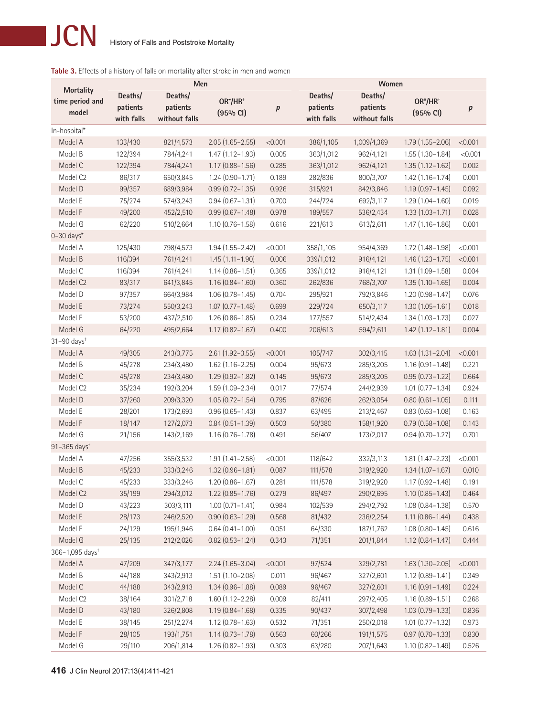# **Table 3.** Effects of a history of falls on mortality after stroke in men and women

|                                     | Men        |               |                        |         |            |               |                        |         |
|-------------------------------------|------------|---------------|------------------------|---------|------------|---------------|------------------------|---------|
| <b>Mortality</b><br>time period and | Deaths/    | Deaths/       | OR*/HR <sup>+</sup>    |         | Deaths/    | Deaths/       | $OR^*/HR^+$            |         |
| model                               | patients   | patients      | (95% CI)               | p       | patients   | patients      | (95% CI)               | p       |
|                                     | with falls | without falls |                        |         | with falls | without falls |                        |         |
| In-hospital*                        |            |               |                        |         |            |               |                        |         |
| Model A                             | 133/430    | 821/4,573     | $2.05(1.65 - 2.55)$    | < 0.001 | 386/1,105  | 1,009/4,369   | $1.79(1.55 - 2.06)$    | < 0.001 |
| Model B                             | 122/394    | 784/4,241     | $1.47(1.12 - 1.93)$    | 0.005   | 363/1,012  | 962/4,121     | $1.55(1.30-1.84)$      | < 0.001 |
| Model C                             | 122/394    | 784/4,241     | $1.17(0.88 - 1.56)$    | 0.285   | 363/1,012  | 962/4,121     | $1.35(1.12 - 1.62)$    | 0.002   |
| Model C <sub>2</sub>                | 86/317     | 650/3,845     | $1.24(0.90 - 1.71)$    | 0.189   | 282/836    | 800/3,707     | $1.42(1.16 - 1.74)$    | 0.001   |
| Model D                             | 99/357     | 689/3,984     | $0.99(0.72 - 1.35)$    | 0.926   | 315/921    | 842/3,846     | $1.19(0.97 - 1.45)$    | 0.092   |
| Model E                             | 75/274     | 574/3,243     | $0.94(0.67 - 1.31)$    | 0.700   | 244/724    | 692/3,117     | $1.29(1.04 - 1.60)$    | 0.019   |
| Model F                             | 49/200     | 452/2,510     | $0.99(0.67 - 1.48)$    | 0.978   | 189/557    | 536/2,434     | $1.33(1.03 - 1.71)$    | 0.028   |
| Model G                             | 62/220     | 510/2,664     | $1.10(0.76 - 1.58)$    | 0.616   | 221/613    | 613/2,611     | $1.47(1.16 - 1.86)$    | 0.001   |
| $0-30$ days*                        |            |               |                        |         |            |               |                        |         |
| Model A                             | 125/430    | 798/4,573     | $1.94(1.55 - 2.42)$    | < 0.001 | 358/1,105  | 954/4,369     | $1.72(1.48 - 1.98)$    | < 0.001 |
| Model B                             | 116/394    | 761/4,241     | $1.45(1.11 - 1.90)$    | 0.006   | 339/1,012  | 916/4,121     | $1.46(1.23 - 1.75)$    | < 0.001 |
| Model C                             | 116/394    | 761/4,241     | $1.14(0.86 - 1.51)$    | 0.365   | 339/1,012  | 916/4,121     | $1.31(1.09 - 1.58)$    | 0.004   |
| Model C <sub>2</sub>                | 83/317     | 641/3,845     | $1.16(0.84 - 1.60)$    | 0.360   | 262/836    | 768/3,707     | $1.35(1.10-1.65)$      | 0.004   |
| Model D                             | 97/357     | 664/3,984     | $1.06(0.78 - 1.45)$    | 0.704   | 295/921    | 792/3,846     | $1.20(0.98 - 1.47)$    | 0.076   |
| Model E                             | 73/274     | 550/3,243     | $1.07(0.77 - 1.48)$    | 0.699   | 229/724    | 650/3,117     | $1.30(1.05 - 1.61)$    | 0.018   |
| Model F                             | 53/200     | 437/2,510     | $1.26(0.86 - 1.85)$    | 0.234   | 177/557    | 514/2,434     | $1.34(1.03 - 1.73)$    | 0.027   |
| Model G                             | 64/220     | 495/2,664     | $1.17(0.82 - 1.67)$    | 0.400   | 206/613    | 594/2,611     | $1.42(1.12 - 1.81)$    | 0.004   |
| $31 - 90$ days <sup>+</sup>         |            |               |                        |         |            |               |                        |         |
| Model A                             | 49/305     | 243/3,775     | 2.61 (1.92-3.55)       | < 0.001 | 105/747    | 302/3,415     | $1.63(1.31 - 2.04)$    | < 0.001 |
| Model B                             | 45/278     | 234/3,480     | $1.62$ $(1.16 - 2.25)$ | 0.004   | 95/673     | 285/3,205     | $1.16(0.91 - 1.48)$    | 0.221   |
| Model C                             | 45/278     | 234/3,480     | $1.29(0.92 - 1.82)$    | 0.145   | 95/673     | 285/3,205     | $0.95(0.73 - 1.22)$    | 0.664   |
| Model C <sub>2</sub>                | 35/234     | 192/3,204     | $1.59(1.09 - 2.34)$    | 0.017   | 77/574     | 244/2,939     | $1.01$ $(0.77 - 1.34)$ | 0.924   |
| Model D                             | 37/260     | 209/3,320     | $1.05(0.72 - 1.54)$    | 0.795   | 87/626     | 262/3,054     | $0.80(0.61 - 1.05)$    | 0.111   |
| Model E                             | 28/201     | 173/2,693     | $0.96(0.65 - 1.43)$    | 0.837   | 63/495     | 213/2,467     | $0.83(0.63 - 1.08)$    | 0.163   |
| Model F                             | 18/147     | 127/2,073     | $0.84(0.51 - 1.39)$    | 0.503   | 50/380     | 158/1,920     | $0.79(0.58 - 1.08)$    | 0.143   |
| Model G                             | 21/156     | 143/2,169     | $1.16(0.76 - 1.78)$    | 0.491   | 56/407     | 173/2,017     | $0.94(0.70 - 1.27)$    | 0.701   |
| $91 - 365$ days <sup>+</sup>        |            |               |                        |         |            |               |                        |         |
| Model A                             | 47/256     | 355/3,532     | $1.91(1.41 - 2.58)$    | < 0.001 | 118/642    | 332/3,113     | $1.81(1.47 - 2.23)$    | < 0.001 |
| Model B                             | 45/233     | 333/3,246     | $1.32(0.96 - 1.81)$    | 0.087   | 111/578    | 319/2,920     | $1.34(1.07 - 1.67)$    | 0.010   |
| Model C                             | 45/233     | 333/3,246     | $1.20(0.86 - 1.67)$    | 0.281   | 111/578    | 319/2,920     | $1.17(0.92 - 1.48)$    | 0.191   |
| Model C <sub>2</sub>                | 35/199     | 294/3,012     | $1.22$ (0.85-1.76)     | 0.279   | 86/497     | 290/2,695     | $1.10(0.85 - 1.43)$    | 0.464   |
| Model D                             | 43/223     | 303/3,111     | $1.00(0.71 - 1.41)$    | 0.984   | 102/539    | 294/2,792     | 1.08 (0.84-1.38)       | 0.570   |
| Model E                             | 28/173     | 246/2,520     | $0.90(0.63 - 1.29)$    | 0.568   | 81/432     | 236/2,254     | $1.11(0.86 - 1.44)$    | 0.438   |
| Model F                             | 24/129     | 195/1,946     | $0.64$ $(0.41 - 1.00)$ | 0.051   | 64/330     | 187/1,762     | $1.08(0.80 - 1.45)$    | 0.616   |
| Model G                             | 25/135     | 212/2,026     | $0.82$ (0.53-1.24)     | 0.343   | 71/351     | 201/1,844     | $1.12(0.84 - 1.47)$    | 0.444   |
| 366-1,095 days <sup>+</sup>         |            |               |                        |         |            |               |                        |         |
| Model A                             | 47/209     | 347/3,177     | $2.24(1.65 - 3.04)$    | < 0.001 | 97/524     | 329/2,781     | $1.63(1.30 - 2.05)$    | < 0.001 |
| Model B                             | 44/188     | 343/2,913     | $1.51(1.10-2.08)$      | 0.011   | 96/467     | 327/2,601     | $1.12(0.89 - 1.41)$    | 0.349   |
| Model C                             | 44/188     | 343/2,913     | $1.34(0.96 - 1.88)$    | 0.089   | 96/467     | 327/2,601     | $1.16(0.91 - 1.49)$    | 0.224   |
| Model C2                            | 38/164     | 301/2,718     | $1.60(1.12 - 2.28)$    | 0.009   | 82/411     | 297/2,405     | $1.16(0.89 - 1.51)$    | 0.268   |
| Model D                             | 43/180     | 326/2,808     | $1.19(0.84 - 1.68)$    | 0.335   | 90/437     | 307/2,498     | $1.03(0.79 - 1.33)$    | 0.836   |
| Model E                             | 38/145     | 251/2,274     | $1.12$ (0.78-1.63)     | 0.532   | 71/351     | 250/2,018     | $1.01$ $(0.77 - 1.32)$ | 0.973   |
| Model F                             | 28/105     | 193/1,751     | $1.14(0.73 - 1.78)$    | 0.563   | 60/266     | 191/1,575     | $0.97$ $(0.70 - 1.33)$ | 0.830   |
| Model G                             | 29/110     | 206/1,814     | 1.26 (0.82-1.93)       | 0.303   | 63/280     | 207/1,643     | $1.10(0.82 - 1.49)$    | 0.526   |
|                                     |            |               |                        |         |            |               |                        |         |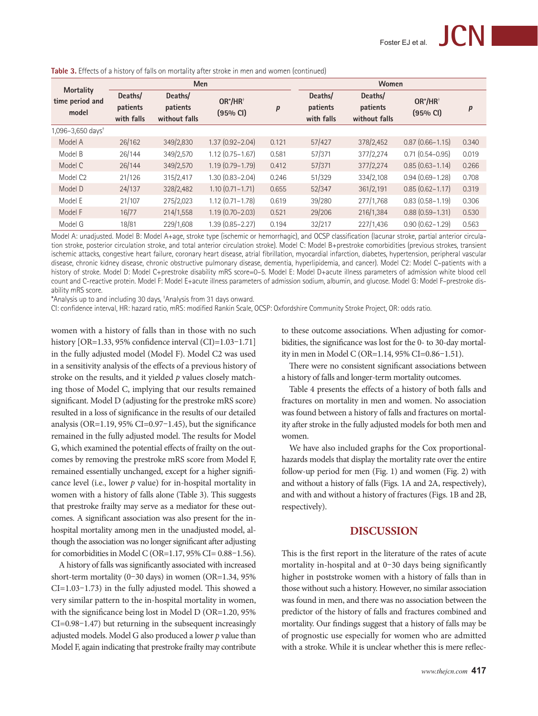|                                              | <b>Men</b>                        |                                      |                                 |       | Women                             |                                      |                         |       |  |
|----------------------------------------------|-----------------------------------|--------------------------------------|---------------------------------|-------|-----------------------------------|--------------------------------------|-------------------------|-------|--|
| <b>Mortality</b><br>time period and<br>model | Deaths/<br>patients<br>with falls | Deaths/<br>patients<br>without falls | OR*/HR <sup>+</sup><br>(95% CI) | p     | Deaths/<br>patients<br>with falls | Deaths/<br>patients<br>without falls | $OR^*/HR^+$<br>(95% CI) | p     |  |
| 1,096-3,650 days <sup>+</sup>                |                                   |                                      |                                 |       |                                   |                                      |                         |       |  |
| Model A                                      | 26/162                            | 349/2,830                            | $1.37(0.92 - 2.04)$             | 0.121 | 57/427                            | 378/2,452                            | $0.87(0.66 - 1.15)$     | 0.340 |  |
| Model B                                      | 26/144                            | 349/2,570                            | $1.12(0.75 - 1.67)$             | 0.581 | 57/371                            | 377/2,274                            | $0.71$ $(0.54 - 0.95)$  | 0.019 |  |
| Model C                                      | 26/144                            | 349/2,570                            | $1.19(0.79 - 1.79)$             | 0.412 | 57/371                            | 377/2,274                            | $0.85(0.63 - 1.14)$     | 0.266 |  |
| Model C <sub>2</sub>                         | 21/126                            | 315/2,417                            | $1.30(0.83 - 2.04)$             | 0.246 | 51/329                            | 334/2,108                            | $0.94(0.69 - 1.28)$     | 0.708 |  |
| Model D                                      | 24/137                            | 328/2,482                            | $1.10(0.71 - 1.71)$             | 0.655 | 52/347                            | 361/2,191                            | $0.85(0.62 - 1.17)$     | 0.319 |  |
| Model E                                      | 21/107                            | 275/2,023                            | $1.12$ $(0.71 - 1.78)$          | 0.619 | 39/280                            | 277/1,768                            | $0.83(0.58 - 1.19)$     | 0.306 |  |
| Model F                                      | 16/77                             | 214/1,558                            | $1.19(0.70 - 2.03)$             | 0.521 | 29/206                            | 216/1,384                            | $0.88$ $(0.59 - 1.31)$  | 0.530 |  |
| Model G                                      | 18/81                             | 229/1,608                            | $1.39(0.85 - 2.27)$             | 0.194 | 32/217                            | 227/1,436                            | $0.90(0.62 - 1.29)$     | 0.563 |  |

**Table 3.** Effects of a history of falls on mortality after stroke in men and women (continued)

Model A: unadjusted. Model B: Model A+age, stroke type (ischemic or hemorrhagic), and OCSP classification (lacunar stroke, partial anterior circulation stroke, posterior circulation stroke, and total anterior circulation stroke). Model C: Model B+prestroke comorbidities (previous strokes, transient ischemic attacks, congestive heart failure, coronary heart disease, atrial fibrillation, myocardial infarction, diabetes, hypertension, peripheral vascular disease, chronic kidney disease, chronic obstructive pulmonary disease, dementia, hyperlipidemia, and cancer). Model C2: Model C–patients with a history of stroke. Model D: Model C+prestroke disability mRS score=0-5. Model E: Model D+acute illness parameters of admission white blood cell count and C-reactive protein. Model F: Model E+acute illness parameters of admission sodium, albumin, and glucose. Model G: Model F–prestroke disability mRS score.

\*Analysis up to and including 30 days, † Analysis from 31 days onward.

CI: confidence interval, HR: hazard ratio, mRS: modified Rankin Scale, OCSP: Oxfordshire Community Stroke Project, OR: odds ratio.

women with a history of falls than in those with no such history [OR=1.33, 95% confidence interval (CI)=1.03-1.71] in the fully adjusted model (Model F). Model C2 was used in a sensitivity analysis of the effects of a previous history of stroke on the results, and it yielded *p* values closely matching those of Model C, implying that our results remained significant. Model D (adjusting for the prestroke mRS score) resulted in a loss of significance in the results of our detailed analysis (OR=1.19, 95% CI=0.97-1.45), but the significance remained in the fully adjusted model. The results for Model G, which examined the potential effects of frailty on the outcomes by removing the prestroke mRS score from Model F, remained essentially unchanged, except for a higher significance level (i.e., lower *p* value) for in-hospital mortality in women with a history of falls alone (Table 3). This suggests that prestroke frailty may serve as a mediator for these outcomes. A significant association was also present for the inhospital mortality among men in the unadjusted model, although the association was no longer significant after adjusting for comorbidities in Model C (OR=1.17, 95% CI= 0.88–1.56).

A history of falls was significantly associated with increased short-term mortality (0–30 days) in women (OR=1.34, 95% CI=1.03–1.73) in the fully adjusted model. This showed a very similar pattern to the in-hospital mortality in women, with the significance being lost in Model D (OR=1.20, 95% CI=0.98–1.47) but returning in the subsequent increasingly adjusted models. Model G also produced a lower *p* value than Model F, again indicating that prestroke frailty may contribute

to these outcome associations. When adjusting for comorbidities, the significance was lost for the 0- to 30-day mortality in men in Model C (OR=1.14, 95% CI=0.86–1.51).

There were no consistent significant associations between a history of falls and longer-term mortality outcomes.

Table 4 presents the effects of a history of both falls and fractures on mortality in men and women. No association was found between a history of falls and fractures on mortality after stroke in the fully adjusted models for both men and women.

We have also included graphs for the Cox proportionalhazards models that display the mortality rate over the entire follow-up period for men (Fig. 1) and women (Fig. 2) with and without a history of falls (Figs. 1A and 2A, respectively), and with and without a history of fractures (Figs. 1B and 2B, respectively).

# **Discussion**

This is the first report in the literature of the rates of acute mortality in-hospital and at 0–30 days being significantly higher in poststroke women with a history of falls than in those without such a history. However, no similar association was found in men, and there was no association between the predictor of the history of falls and fractures combined and mortality. Our findings suggest that a history of falls may be of prognostic use especially for women who are admitted with a stroke. While it is unclear whether this is mere reflec-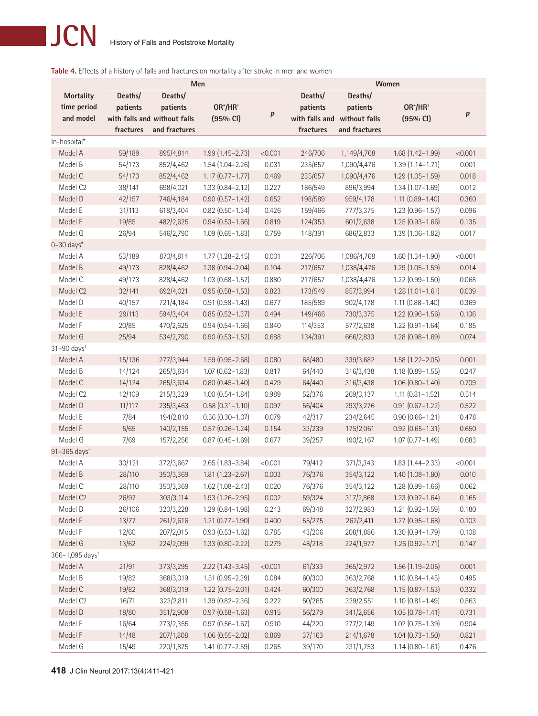# **Table 4.** Effects of a history of falls and fractures on mortality after stroke in men and women

| Men                          |           |                              |                        |         | Women          |               |                        |         |  |
|------------------------------|-----------|------------------------------|------------------------|---------|----------------|---------------|------------------------|---------|--|
| <b>Mortality</b>             | Deaths/   | Deaths/                      |                        |         | Deaths/        | Deaths/       |                        |         |  |
| time period                  | patients  | patients                     | OR*/HR <sup>+</sup>    |         | patients       | patients      | OR*/HR <sup>+</sup>    |         |  |
| and model                    |           | with falls and without falls | (95% CI)               | р       | with falls and | without falls | $(95%$ CI)             | p       |  |
|                              | fractures | and fractures                |                        |         | fractures      | and fractures |                        |         |  |
| In-hospital*                 |           |                              |                        |         |                |               |                        |         |  |
| Model A                      | 59/189    | 895/4,814                    | $1.99(1.45 - 2.73)$    | < 0.001 | 246/706        | 1,149/4,768   | 1.68 (1.42-1.99)       | < 0.001 |  |
| Model B                      | 54/173    | 852/4,462                    | $1.54(1.04 - 2.26)$    | 0.031   | 235/657        | 1,090/4,476   | $1.39(1.14 - 1.71)$    | 0.001   |  |
| Model C                      | 54/173    | 852/4,462                    | $1.17(0.77 - 1.77)$    | 0.469   | 235/657        | 1,090/4,476   | $1.29(1.05 - 1.59)$    | 0.018   |  |
| Model C2                     | 38/141    | 698/4,021                    | $1.33(0.84 - 2.12)$    | 0.227   | 186/549        | 896/3,994     | $1.34(1.07 - 1.69)$    | 0.012   |  |
| Model D                      | 42/157    | 746/4,184                    | $0.90(0.57 - 1.42)$    | 0.652   | 198/589        | 959/4,178     | $1.11(0.89 - 1.40)$    | 0.360   |  |
| Model E                      | 31/113    | 618/3,404                    | $0.82$ (0.50-1.34)     | 0.426   | 159/466        | 777/3,375     | $1.23(0.96 - 1.57)$    | 0.096   |  |
| Model F                      | 19/85     | 482/2,625                    | $0.94(0.53 - 1.66)$    | 0.819   | 124/353        | 601/2,638     | $1.25(0.93 - 1.66)$    | 0.135   |  |
| Model G                      | 26/94     | 546/2,790                    | $1.09(0.65 - 1.83)$    | 0.759   | 148/391        | 686/2,833     | $1.39(1.06 - 1.82)$    | 0.017   |  |
| $0-30$ days*                 |           |                              |                        |         |                |               |                        |         |  |
| Model A                      | 53/189    | 870/4,814                    | $1.77$ $(1.28 - 2.45)$ | 0.001   | 226/706        | 1,086/4,768   | $1.60(1.34 - 1.90)$    | < 0.001 |  |
| Model B                      | 49/173    | 828/4,462                    | $1.38(0.94 - 2.04)$    | 0.104   | 217/657        | 1,038/4,476   | $1.29(1.05 - 1.59)$    | 0.014   |  |
| Model C                      | 49/173    | 828/4,462                    | $1.03(0.68 - 1.57)$    | 0.880   | 217/657        | 1,038/4,476   | $1.22$ (0.99 - 1.50)   | 0.068   |  |
| Model C <sub>2</sub>         | 32/141    | 692/4,021                    | $0.95(0.58 - 1.53)$    | 0.823   | 173/549        | 857/3,994     | $1.28(1.01 - 1.61)$    | 0.039   |  |
| Model D                      | 40/157    | 721/4,184                    | $0.91(0.58 - 1.43)$    | 0.677   | 185/589        | 902/4,178     | $1.11(0.88 - 1.40)$    | 0.369   |  |
| Model E                      | 29/113    | 594/3,404                    | $0.85(0.52 - 1.37)$    | 0.494   | 149/466        | 730/3,375     | $1.22$ (0.96-1.56)     | 0.106   |  |
| Model F                      | 20/85     | 470/2,625                    | $0.94(0.54 - 1.66)$    | 0.840   | 114/353        | 577/2,638     | $1.22$ (0.91 - 1.64)   | 0.185   |  |
| Model G                      | 25/94     | 534/2,790                    | $0.90(0.53 - 1.52)$    | 0.688   | 134/391        | 666/2,833     | $1.28(0.98 - 1.69)$    | 0.074   |  |
| $31 - 90$ days <sup>+</sup>  |           |                              |                        |         |                |               |                        |         |  |
| Model A                      | 15/136    | 277/3,944                    | 1.59 (0.95-2.68)       | 0.080   | 68/480         | 339/3,682     | $1.58(1.22 - 2.05)$    | 0.001   |  |
| Model B                      | 14/124    | 265/3,634                    | $1.07(0.62 - 1.83)$    | 0.817   | 64/440         | 316/3,438     | $1.18(0.89 - 1.55)$    | 0.247   |  |
| Model C                      | 14/124    | 265/3,634                    | $0.80(0.45 - 1.40)$    | 0.429   | 64/440         | 316/3,438     | $1.06(0.80 - 1.40)$    | 0.709   |  |
| Model C2                     | 12/109    | 215/3,329                    | $1.00(0.54 - 1.84)$    | 0.989   | 52/376         | 269/3,137     | $1.11$ $(0.81 - 1.52)$ | 0.514   |  |
| Model D                      | 11/117    | 235/3,463                    | $0.58(0.31 - 1.10)$    | 0.097   | 56/404         | 293/3,276     | $0.91(0.67 - 1.22)$    | 0.522   |  |
| Model E                      | 7/84      | 194/2,810                    | $0.56(0.30 - 1.07)$    | 0.079   | 42/317         | 234/2,645     | $0.90(0.66 - 1.21)$    | 0.478   |  |
| Model F                      | 5/65      | 140/2,155                    | $0.57$ $(0.26 - 1.24)$ | 0.154   | 33/239         | 175/2,061     | $0.92$ $(0.65 - 1.31)$ | 0.650   |  |
| Model G                      | 7/69      | 157/2,256                    | $0.87(0.45 - 1.69)$    | 0.677   | 39/257         | 190/2,167     | $1.07$ $(0.77 - 1.49)$ | 0.683   |  |
| $91 - 365$ days <sup>+</sup> |           |                              |                        |         |                |               |                        |         |  |
| Model A                      | 30/121    | 372/3,667                    | $2.65(1.83 - 3.84)$    | < 0.001 | 79/412         | 371/3,343     | $1.83(1.44 - 2.33)$    | < 0.001 |  |
| Model B                      | 28/110    | 350/3,369                    | $1.81(1.23 - 2.67)$    | 0.003   | 76/376         | 354/3,122     | $1.40(1.08 - 1.80)$    | 0.010   |  |
| Model C                      | 28/110    | 350/3,369                    | $1.62(1.08 - 2.43)$    | 0.020   | 76/376         | 354/3,122     | $1.28(0.99 - 1.66)$    | 0.062   |  |
| Model C <sub>2</sub>         | 26/97     | 303/3,114                    | $1.93(1.26 - 2.95)$    | 0.002   | 59/324         | 317/2,868     | $1.23(0.92 - 1.64)$    | 0.165   |  |
| Model D                      | 26/106    | 320/3,228                    | 1.29 (0.84-1.98)       | 0.243   | 69/348         | 327/2,983     | $1.21(0.92 - 1.59)$    | 0.180   |  |
| Model E                      | 13/77     | 261/2,616                    | $1.21$ $(0.77 - 1.90)$ | 0.400   | 55/275         | 262/2,411     | $1.27(0.95 - 1.68)$    | 0.103   |  |
| Model F                      | 12/60     | 207/2,015                    | $0.93(0.53 - 1.62)$    | 0.785   | 43/206         | 208/1,886     | 1.30 (0.94-1.79)       | 0.108   |  |
| Model G                      | 13/62     | 224/2,099                    | 1.33 (0.80-2.22)       | 0.279   | 48/218         | 224/1,977     | $1.26(0.92 - 1.71)$    | 0.147   |  |
| 366-1,095 days <sup>+</sup>  |           |                              |                        |         |                |               |                        |         |  |
| Model A                      | 21/91     | 373/3,295                    | $2.22$ (1.43-3.45)     | < 0.001 | 61/333         | 365/2,972     | $1.56(1.19 - 2.05)$    | 0.001   |  |
| Model B                      | 19/82     | 368/3,019                    | 1.51 (0.95-2.39)       | 0.084   | 60/300         | 363/2,768     | $1.10(0.84 - 1.45)$    | 0.495   |  |
| Model C                      | 19/82     | 368/3,019                    | $1.22(0.75 - 2.01)$    | 0.424   | 60/300         | 363/2,768     | $1.15(0.87 - 1.53)$    | 0.332   |  |
| Model C2                     | 16/71     | 323/2,811                    | 1.39 (0.82-2.36)       | 0.222   | 50/265         | 329/2,551     | $1.10(0.81 - 1.49)$    | 0.563   |  |
| Model D                      | 18/80     | 351/2,908                    | $0.97(0.58 - 1.63)$    | 0.915   | 56/279         | 341/2,656     | $1.05(0.78 - 1.41)$    | 0.731   |  |
| Model E                      | 16/64     | 273/2,355                    | $0.97(0.56 - 1.67)$    | 0.910   | 44/220         | 277/2,149     | 1.02 (0.75-1.39)       | 0.904   |  |
| Model F                      | 14/48     | 207/1,808                    | $1.06(0.55 - 2.02)$    | 0.869   | 37/163         | 214/1,678     | $1.04(0.73 - 1.50)$    | 0.821   |  |
| Model G                      | 15/49     | 220/1,875                    | $1.41(0.77 - 2.59)$    | 0.265   | 39/170         | 231/1,753     | $1.14(0.80 - 1.61)$    | 0.476   |  |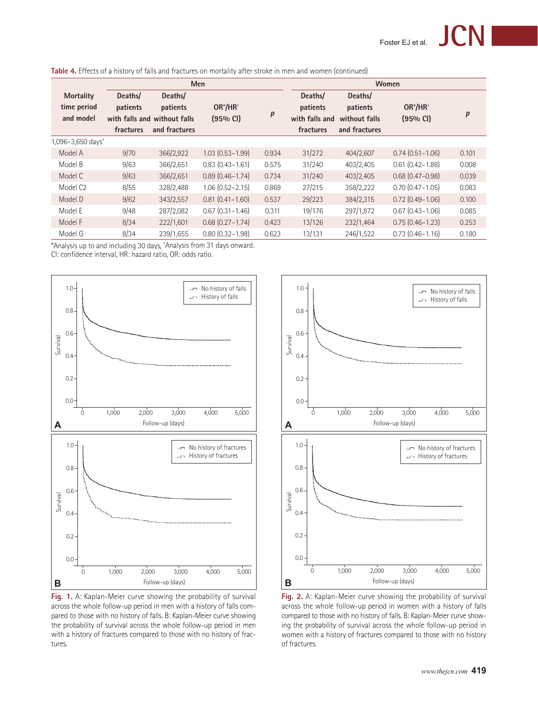| <b>Men</b>                                   |                                  |                                                                      |                                 |                  | Women                                              |                                                       |                         |       |  |  |
|----------------------------------------------|----------------------------------|----------------------------------------------------------------------|---------------------------------|------------------|----------------------------------------------------|-------------------------------------------------------|-------------------------|-------|--|--|
| <b>Mortality</b><br>time period<br>and model | Deaths/<br>patients<br>fractures | Deaths/<br>patients<br>with falls and without falls<br>and fractures | OR*/HR <sup>+</sup><br>(95% CI) | $\boldsymbol{p}$ | Deaths/<br>patients<br>with falls and<br>fractures | Deaths/<br>patients<br>without falls<br>and fractures | $OR^*/HR^+$<br>(95% CI) | p     |  |  |
| 1,096-3,650 days <sup>+</sup>                |                                  |                                                                      |                                 |                  |                                                    |                                                       |                         |       |  |  |
| Model A                                      | 9/70                             | 366/2,922                                                            | $1.03(0.53 - 1.99)$             | 0.934            | 31/272                                             | 404/2,607                                             | $0.74(0.51 - 1.06)$     | 0.101 |  |  |
| Model B                                      | 9/63                             | 366/2,651                                                            | $0.83(0.43 - 1.61)$             | 0.575            | 31/240                                             | 403/2,405                                             | $0.61$ $(0.42 - 1.88)$  | 0.008 |  |  |
| Model C                                      | 9/63                             | 366/2,651                                                            | $0.89(0.46 - 1.74)$             | 0.734            | 31/240                                             | 403/2,405                                             | $0.68$ $(0.47 - 0.98)$  | 0.039 |  |  |
| Model C <sub>2</sub>                         | 8/55                             | 328/2,488                                                            | $1.06(0.52 - 2.15)$             | 0.869            | 27/215                                             | 358/2,222                                             | $0.70(0.47 - 1.05)$     | 0.083 |  |  |
| Model D                                      | 9/62                             | 343/2,557                                                            | $0.81(0.41 - 1.60)$             | 0.537            | 29/223                                             | 384/2,315                                             | $0.72$ $(0.49 - 1.06)$  | 0.100 |  |  |
| Model E                                      | 9/48                             | 287/2,082                                                            | $0.67(0.31 - 1.46)$             | 0.311            | 19/176                                             | 297/1,872                                             | $0.67$ $(0.43 - 1.06)$  | 0.085 |  |  |
| Model F                                      | 8/34                             | 222/1,601                                                            | $0.68$ $(0.27 - 1.74)$          | 0.423            | 13/126                                             | 232/1,464                                             | $0.75(0.46 - 1.23)$     | 0.253 |  |  |
| Model G                                      | 8/34                             | 239/1,655                                                            | $0.80(0.32 - 1.98)$             | 0.623            | 13/131                                             | 246/1,522                                             | $0.73(0.46 - 1.16)$     | 0.180 |  |  |

\*Analysis up to and including 30 days, † Analysis from 31 days onward.

CI: confidence interval, HR: hazard ratio, OR: odds ratio.



**Fig. 1.** A: Kaplan-Meier curve showing the probability of survival across the whole follow-up period in men with a history of falls compared to those with no history of falls. B: Kaplan-Meier curve showing the probability of survival across the whole follow-up period in men with a history of fractures compared to those with no history of fractures.



**Fig. 2.** A: Kaplan-Meier curve showing the probability of survival across the whole follow-up period in women with a history of falls compared to those with no history of falls. B: Kaplan-Meier curve showing the probability of survival across the whole follow-up period in women with a history of fractures compared to those with no history of fractures.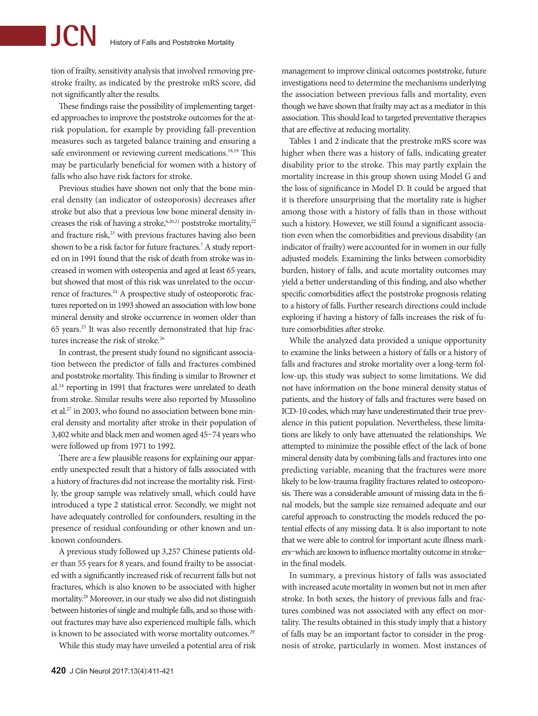tion of frailty, sensitivity analysis that involved removing prestroke frailty, as indicated by the prestroke mRS score, did not significantly alter the results.

These findings raise the possibility of implementing targeted approaches to improve the poststroke outcomes for the atrisk population, for example by providing fall-prevention measures such as targeted balance training and ensuring a safe environment or reviewing current medications.<sup>18,19</sup> This may be particularly beneficial for women with a history of falls who also have risk factors for stroke.

Previous studies have shown not only that the bone mineral density (an indicator of osteoporosis) decreases after stroke but also that a previous low bone mineral density increases the risk of having a stroke,<sup>6,20,21</sup> poststroke mortality,<sup>22</sup> and fracture risk,<sup>23</sup> with previous fractures having also been shown to be a risk factor for future fractures.<sup>7</sup> A study reported on in 1991 found that the risk of death from stroke was increased in women with osteopenia and aged at least 65 years, but showed that most of this risk was unrelated to the occurrence of fractures.<sup>24</sup> A prospective study of osteoporotic fractures reported on in 1993 showed an association with low bone mineral density and stroke occurrence in women older than 65 years.25 It was also recently demonstrated that hip fractures increase the risk of stroke.<sup>26</sup>

In contrast, the present study found no significant association between the predictor of falls and fractures combined and poststroke mortality. This finding is similar to Browner et al.24 reporting in 1991 that fractures were unrelated to death from stroke. Similar results were also reported by Mussolino et al.27 in 2003, who found no association between bone mineral density and mortality after stroke in their population of 3,402 white and black men and women aged 45–74 years who were followed up from 1971 to 1992.

There are a few plausible reasons for explaining our apparently unexpected result that a history of falls associated with a history of fractures did not increase the mortality risk. Firstly, the group sample was relatively small, which could have introduced a type 2 statistical error. Secondly, we might not have adequately controlled for confounders, resulting in the presence of residual confounding or other known and unknown confounders.

A previous study followed up 3,257 Chinese patients older than 55 years for 8 years, and found frailty to be associated with a significantly increased risk of recurrent falls but not fractures, which is also known to be associated with higher mortality.28 Moreover, in our study we also did not distinguish between histories of single and multiple falls, and so those without fractures may have also experienced multiple falls, which is known to be associated with worse mortality outcomes.<sup>29</sup>

While this study may have unveiled a potential area of risk

management to improve clinical outcomes poststroke, future investigations need to determine the mechanisms underlying the association between previous falls and mortality, even though we have shown that frailty may act as a mediator in this association. This should lead to targeted preventative therapies that are effective at reducing mortality.

Tables 1 and 2 indicate that the prestroke mRS score was higher when there was a history of falls, indicating greater disability prior to the stroke. This may partly explain the mortality increase in this group shown using Model G and the loss of significance in Model D. It could be argued that it is therefore unsurprising that the mortality rate is higher among those with a history of falls than in those without such a history. However, we still found a significant association even when the comorbidities and previous disability (an indicator of frailty) were accounted for in women in our fully adjusted models. Examining the links between comorbidity burden, history of falls, and acute mortality outcomes may yield a better understanding of this finding, and also whether specific comorbidities affect the poststroke prognosis relating to a history of falls. Further research directions could include exploring if having a history of falls increases the risk of future comorbidities after stroke.

While the analyzed data provided a unique opportunity to examine the links between a history of falls or a history of falls and fractures and stroke mortality over a long-term follow-up, this study was subject to some limitations. We did not have information on the bone mineral density status of patients, and the history of falls and fractures were based on ICD-10 codes, which may have underestimated their true prevalence in this patient population. Nevertheless, these limitations are likely to only have attenuated the relationships. We attempted to minimize the possible effect of the lack of bone mineral density data by combining falls and fractures into one predicting variable, meaning that the fractures were more likely to be low-trauma fragility fractures related to osteoporosis. There was a considerable amount of missing data in the final models, but the sample size remained adequate and our careful approach to constructing the models reduced the potential effects of any missing data. It is also important to note that we were able to control for important acute illness markers–which are known to influence mortality outcome in stroke– in the final models.

In summary, a previous history of falls was associated with increased acute mortality in women but not in men after stroke. In both sexes, the history of previous falls and fractures combined was not associated with any effect on mortality. The results obtained in this study imply that a history of falls may be an important factor to consider in the prognosis of stroke, particularly in women. Most instances of